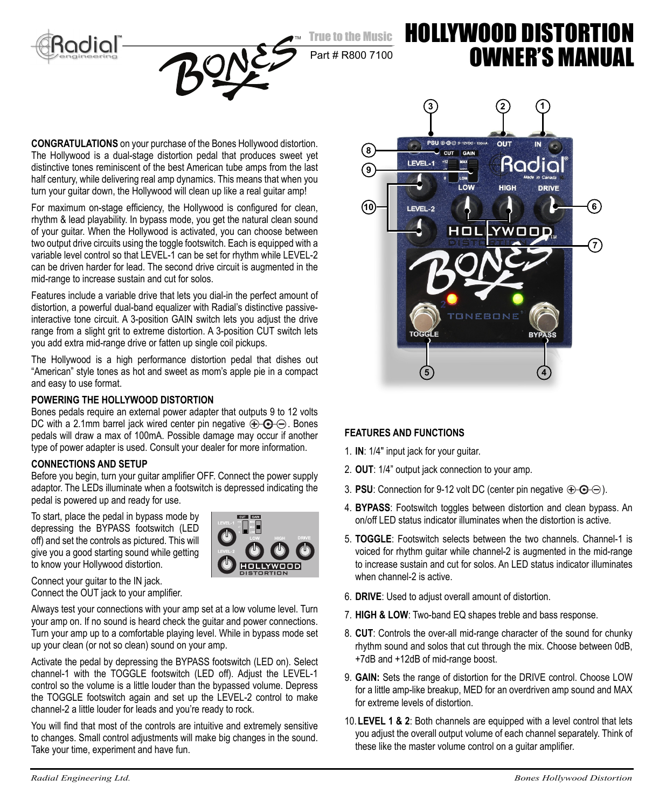



## Part # R800 7100

# HOLLYWOOD DISTORTION OWNER'S MANUAL

**CONGRATULATIONS** on your purchase of the Bones Hollywood distortion. The Hollywood is a dual-stage distortion pedal that produces sweet yet distinctive tones reminiscent of the best American tube amps from the last half century, while delivering real amp dynamics. This means that when you turn your guitar down, the Hollywood will clean up like a real guitar amp!

For maximum on-stage efficiency, the Hollywood is configured for clean, rhythm & lead playability. In bypass mode, you get the natural clean sound of your guitar. When the Hollywood is activated, you can choose between two output drive circuits using the toggle footswitch. Each is equipped with a variable level control so that LEVEL-1 can be set for rhythm while LEVEL-2 can be driven harder for lead. The second drive circuit is augmented in the mid-range to increase sustain and cut for solos.

Features include a variable drive that lets you dial-in the perfect amount of distortion, a powerful dual-band equalizer with Radial's distinctive passiveinteractive tone circuit. A 3-position GAIN switch lets you adjust the drive range from a slight grit to extreme distortion. A 3-position CUT switch lets you add extra mid-range drive or fatten up single coil pickups.

The Hollywood is a high performance distortion pedal that dishes out "American" style tones as hot and sweet as mom's apple pie in a compact and easy to use format.

#### **POWERING THE HOLLYWOOD DISTORTION**

Bones pedals require an external power adapter that outputs 9 to 12 volts DC with a 2.1mm barrel jack wired center pin negative  $\bigoplus$   $\bigoplus$   $\bigoplus$ . Bones pedals will draw a max of 100mA. Possible damage may occur if another type of power adapter is used. Consult your dealer for more information.

#### **CONNECTIONS AND SETUP**

Before you begin, turn your guitar amplifier OFF. Connect the power supply adaptor. The LEDs illuminate when a footswitch is depressed indicating the pedal is powered up and ready for use.

To start, place the pedal in bypass mode by depressing the BYPASS footswitch (LED off) and set the controls as pictured. This will give you a good starting sound while getting to know your Hollywood distortion.



Connect your guitar to the IN jack. Connect the OUT jack to your amplifier.

Always test your connections with your amp set at a low volume level. Turn your amp on. If no sound is heard check the guitar and power connections. Turn your amp up to a comfortable playing level. While in bypass mode set up your clean (or not so clean) sound on your amp.

Activate the pedal by depressing the BYPASS footswitch (LED on). Select channel-1 with the TOGGLE footswitch (LED off). Adjust the LEVEL-1 control so the volume is a little louder than the bypassed volume. Depress the TOGGLE footswitch again and set up the LEVEL-2 control to make channel-2 a little louder for leads and you're ready to rock.

You will find that most of the controls are intuitive and extremely sensitive to changes. Small control adjustments will make big changes in the sound. Take your time, experiment and have fun.



#### **FEATURES AND FUNCTIONS**

- 1. **IN**: 1/4" input jack for your guitar.
- 2. **OUT**: 1/4" output jack connection to your amp.
- 3. **PSU**: Connection for 9-12 volt DC (center pin negative  $\bigoplus$   $\bigoplus$   $\bigoplus$ ).
- 4. **BYPASS**: Footswitch toggles between distortion and clean bypass. An on/off LED status indicator illuminates when the distortion is active.
- 5. **TOGGLE**: Footswitch selects between the two channels. Channel-1 is voiced for rhythm guitar while channel-2 is augmented in the mid-range to increase sustain and cut for solos. An LED status indicator illuminates when channel-2 is active.
- 6. **DRIVE**: Used to adjust overall amount of distortion.
- 7. **HIGH & LOW**: Two-band EQ shapes treble and bass response.
- 8. **CUT**: Controls the over-all mid-range character of the sound for chunky rhythm sound and solos that cut through the mix. Choose between 0dB, +7dB and +12dB of mid-range boost.
- 9. **GAIN:** Sets the range of distortion for the DRIVE control. Choose LOW for a little amp-like breakup, MED for an overdriven amp sound and MAX for extreme levels of distortion.
- 10. **LEVEL 1 & 2**: Both channels are equipped with a level control that lets you adjust the overall output volume of each channel separately. Think of these like the master volume control on a quitar amplifier.